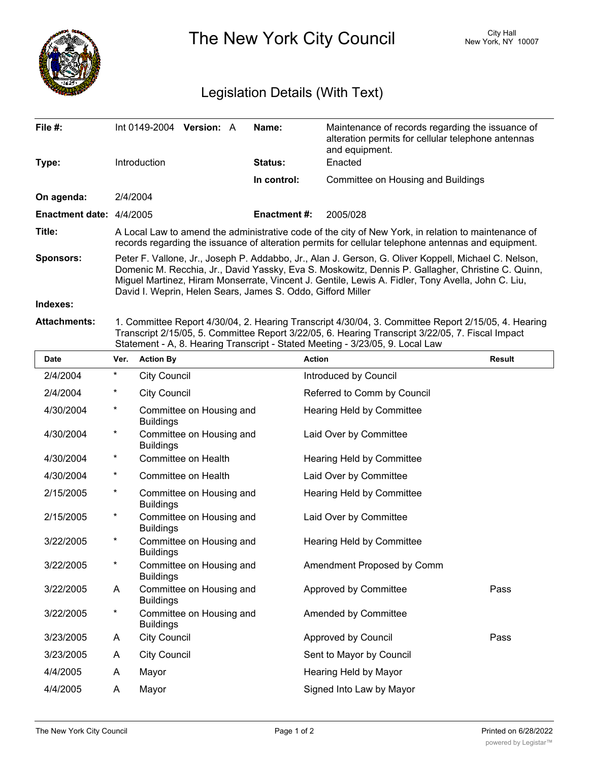

The New York City Council New York, NY 10007

## Legislation Details (With Text)

| File $#$ :                      | Int 0149-2004 Version: A                                                                                                                                                                                                                                                                                                                                                      | Name:               | Maintenance of records regarding the issuance of<br>alteration permits for cellular telephone antennas<br>and equipment. |  |  |
|---------------------------------|-------------------------------------------------------------------------------------------------------------------------------------------------------------------------------------------------------------------------------------------------------------------------------------------------------------------------------------------------------------------------------|---------------------|--------------------------------------------------------------------------------------------------------------------------|--|--|
| Type:                           | <b>Introduction</b>                                                                                                                                                                                                                                                                                                                                                           | <b>Status:</b>      | Enacted                                                                                                                  |  |  |
|                                 |                                                                                                                                                                                                                                                                                                                                                                               | In control:         | Committee on Housing and Buildings                                                                                       |  |  |
| On agenda:                      | 2/4/2004                                                                                                                                                                                                                                                                                                                                                                      |                     |                                                                                                                          |  |  |
| <b>Enactment date: 4/4/2005</b> |                                                                                                                                                                                                                                                                                                                                                                               | <b>Enactment #:</b> | 2005/028                                                                                                                 |  |  |
| Title:                          | A Local Law to amend the administrative code of the city of New York, in relation to maintenance of<br>records regarding the issuance of alteration permits for cellular telephone antennas and equipment.                                                                                                                                                                    |                     |                                                                                                                          |  |  |
| <b>Sponsors:</b>                | Peter F. Vallone, Jr., Joseph P. Addabbo, Jr., Alan J. Gerson, G. Oliver Koppell, Michael C. Nelson,<br>Domenic M. Recchia, Jr., David Yassky, Eva S. Moskowitz, Dennis P. Gallagher, Christine C. Quinn,<br>Miguel Martinez, Hiram Monserrate, Vincent J. Gentile, Lewis A. Fidler, Tony Avella, John C. Liu,<br>David I. Weprin, Helen Sears, James S. Oddo, Gifford Miller |                     |                                                                                                                          |  |  |
| Indexes:                        |                                                                                                                                                                                                                                                                                                                                                                               |                     |                                                                                                                          |  |  |
| <b>Attachments:</b>             | 1. Committee Report 4/30/04, 2. Hearing Transcript 4/30/04, 3. Committee Report 2/15/05, 4. Hearing<br>Transcript 2/15/05, 5. Committee Report 3/22/05, 6. Hearing Transcript 3/22/05, 7. Fiscal Impact<br>Statement - A, 8. Hearing Transcript - Stated Meeting - 3/23/05, 9. Local Law                                                                                      |                     |                                                                                                                          |  |  |
| <b>Data</b>                     | Vou Antinu Du                                                                                                                                                                                                                                                                                                                                                                 | $A - 1 - 1$         | <b>Decuit</b>                                                                                                            |  |  |

| <b>Date</b> | Ver.       | <b>Action By</b>                             | <b>Action</b>               | <b>Result</b> |
|-------------|------------|----------------------------------------------|-----------------------------|---------------|
| 2/4/2004    | $^{\star}$ | <b>City Council</b>                          | Introduced by Council       |               |
| 2/4/2004    | $^\star$   | <b>City Council</b>                          | Referred to Comm by Council |               |
| 4/30/2004   | $\star$    | Committee on Housing and<br><b>Buildings</b> | Hearing Held by Committee   |               |
| 4/30/2004   | $\star$    | Committee on Housing and<br><b>Buildings</b> | Laid Over by Committee      |               |
| 4/30/2004   | $^\star$   | Committee on Health                          | Hearing Held by Committee   |               |
| 4/30/2004   | $^{\star}$ | Committee on Health                          | Laid Over by Committee      |               |
| 2/15/2005   | $^\star$   | Committee on Housing and<br><b>Buildings</b> | Hearing Held by Committee   |               |
| 2/15/2005   | $^\star$   | Committee on Housing and<br><b>Buildings</b> | Laid Over by Committee      |               |
| 3/22/2005   | $^\star$   | Committee on Housing and<br><b>Buildings</b> | Hearing Held by Committee   |               |
| 3/22/2005   | $^\star$   | Committee on Housing and<br><b>Buildings</b> | Amendment Proposed by Comm  |               |
| 3/22/2005   | A          | Committee on Housing and<br><b>Buildings</b> | Approved by Committee       | Pass          |
| 3/22/2005   | $^\star$   | Committee on Housing and<br><b>Buildings</b> | Amended by Committee        |               |
| 3/23/2005   | A          | <b>City Council</b>                          | Approved by Council         | Pass          |
| 3/23/2005   | A          | <b>City Council</b>                          | Sent to Mayor by Council    |               |
| 4/4/2005    | A          | Mayor                                        | Hearing Held by Mayor       |               |
| 4/4/2005    | A          | Mayor                                        | Signed Into Law by Mayor    |               |
|             |            |                                              |                             |               |